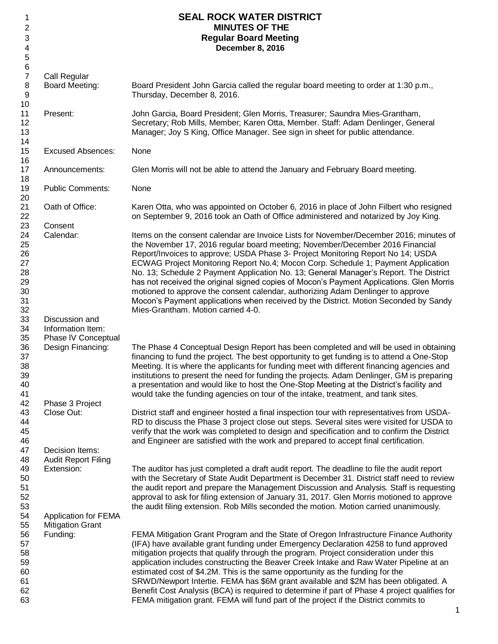| 1                       |                             | <b>SEAL ROCK WATER DISTRICT</b>                                                               |
|-------------------------|-----------------------------|-----------------------------------------------------------------------------------------------|
| $\overline{2}$          |                             | <b>MINUTES OF THE</b>                                                                         |
| 3                       |                             | <b>Regular Board Meeting</b>                                                                  |
| 4                       |                             | December 8, 2016                                                                              |
| $\mathbf 5$             |                             |                                                                                               |
| $\,6$<br>$\overline{7}$ |                             |                                                                                               |
|                         | Call Regular                |                                                                                               |
| $\,8\,$                 | Board Meeting:              | Board President John Garcia called the regular board meeting to order at 1:30 p.m.,           |
| 9<br>10                 |                             | Thursday, December 8, 2016.                                                                   |
| 11                      | Present:                    | John Garcia, Board President; Glen Morris, Treasurer; Saundra Mies-Grantham,                  |
| 12                      |                             | Secretary; Rob Mills, Member; Karen Otta, Member. Staff: Adam Denlinger, General              |
| 13                      |                             | Manager; Joy S King, Office Manager. See sign in sheet for public attendance.                 |
| 14                      |                             |                                                                                               |
| 15                      | <b>Excused Absences:</b>    | None                                                                                          |
| 16                      |                             |                                                                                               |
| 17                      | Announcements:              | Glen Morris will not be able to attend the January and February Board meeting.                |
| 18                      |                             |                                                                                               |
| 19                      | <b>Public Comments:</b>     | None                                                                                          |
| 20                      |                             |                                                                                               |
| 21                      | Oath of Office:             | Karen Otta, who was appointed on October 6, 2016 in place of John Filbert who resigned        |
| 22                      |                             | on September 9, 2016 took an Oath of Office administered and notarized by Joy King.           |
| 23                      | Consent                     |                                                                                               |
| 24                      | Calendar:                   | Items on the consent calendar are Invoice Lists for November/December 2016; minutes of        |
| 25                      |                             | the November 17, 2016 regular board meeting; November/December 2016 Financial                 |
| 26                      |                             | Report/Invoices to approve; USDA Phase 3- Project Monitoring Report No 14; USDA               |
| 27                      |                             | ECWAG Project Monitoring Report No.4; Mocon Corp. Schedule 1; Payment Application             |
| 28                      |                             | No. 13; Schedule 2 Payment Application No. 13; General Manager's Report. The District         |
| 29                      |                             | has not received the original signed copies of Mocon's Payment Applications. Glen Morris      |
| 30                      |                             | motioned to approve the consent calendar, authorizing Adam Denlinger to approve               |
| 31                      |                             | Mocon's Payment applications when received by the District. Motion Seconded by Sandy          |
| 32                      |                             | Mies-Grantham. Motion carried 4-0.                                                            |
| 33                      | Discussion and              |                                                                                               |
| 34                      | Information Item:           |                                                                                               |
| 35                      | Phase IV Conceptual         |                                                                                               |
| 36                      | Design Financing:           | The Phase 4 Conceptual Design Report has been completed and will be used in obtaining         |
| 37                      |                             | financing to fund the project. The best opportunity to get funding is to attend a One-Stop    |
| 38                      |                             | Meeting. It is where the applicants for funding meet with different financing agencies and    |
| 39                      |                             | institutions to present the need for funding the projects. Adam Denlinger, GM is preparing    |
| 40                      |                             | a presentation and would like to host the One-Stop Meeting at the District's facility and     |
| 41                      |                             | would take the funding agencies on tour of the intake, treatment, and tank sites.             |
| 42                      | Phase 3 Project             |                                                                                               |
| 43                      | Close Out:                  | District staff and engineer hosted a final inspection tour with representatives from USDA-    |
| 44                      |                             | RD to discuss the Phase 3 project close out steps. Several sites were visited for USDA to     |
| 45                      |                             | verify that the work was completed to design and specification and to confirm the District    |
| 46                      |                             | and Engineer are satisfied with the work and prepared to accept final certification.          |
| 47                      | Decision Items:             |                                                                                               |
| 48                      | <b>Audit Report Filing</b>  |                                                                                               |
| 49                      | Extension:                  | The auditor has just completed a draft audit report. The deadline to file the audit report    |
| 50                      |                             | with the Secretary of State Audit Department is December 31. District staff need to review    |
| 51<br>52                |                             | the audit report and prepare the Management Discussion and Analysis. Staff is requesting      |
| 53                      |                             | approval to ask for filing extension of January 31, 2017. Glen Morris motioned to approve     |
| 54                      | <b>Application for FEMA</b> | the audit filing extension. Rob Mills seconded the motion. Motion carried unanimously.        |
| 55                      | <b>Mitigation Grant</b>     |                                                                                               |
| 56                      | Funding:                    | FEMA Mitigation Grant Program and the State of Oregon Infrastructure Finance Authority        |
| 57                      |                             | (IFA) have available grant funding under Emergency Declaration 4258 to fund approved          |
| 58                      |                             | mitigation projects that qualify through the program. Project consideration under this        |
| 59                      |                             | application includes constructing the Beaver Creek Intake and Raw Water Pipeline at an        |
| 60                      |                             | estimated cost of \$4.2M. This is the same opportunity as the funding for the                 |
| 61                      |                             | SRWD/Newport Intertie. FEMA has \$6M grant available and \$2M has been obligated. A           |
| 62                      |                             | Benefit Cost Analysis (BCA) is required to determine if part of Phase 4 project qualifies for |
| 63                      |                             | FEMA mitigation grant. FEMA will fund part of the project if the District commits to          |
|                         |                             |                                                                                               |